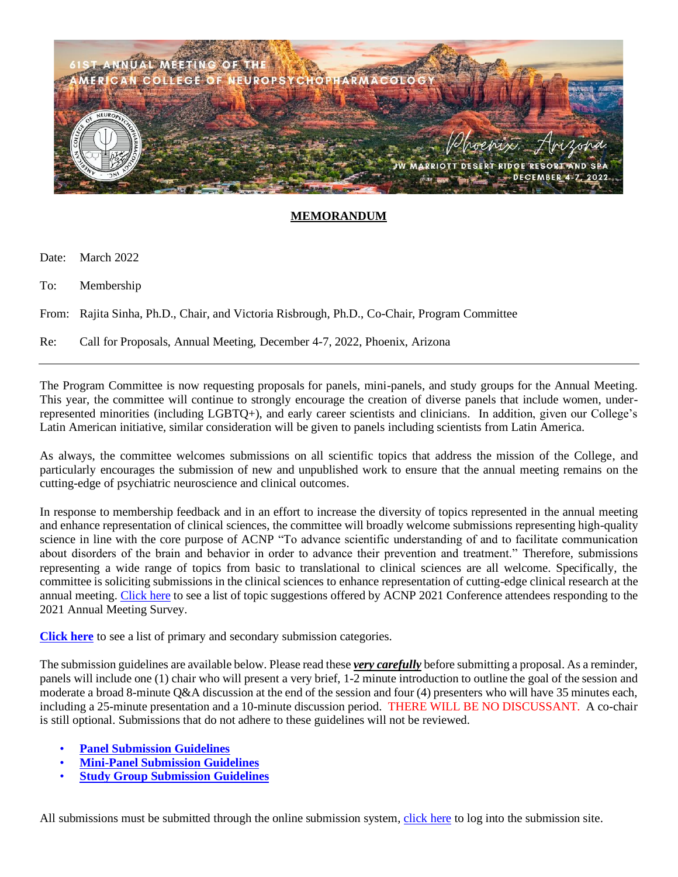

## **MEMORANDUM**

Date: March 2022

To: Membership

From: Rajita Sinha, Ph.D., Chair, and Victoria Risbrough, Ph.D., Co-Chair, Program Committee

Re: Call for Proposals, Annual Meeting, December 4-7, 2022, Phoenix, Arizona

The Program Committee is now requesting proposals for panels, mini-panels, and study groups for the Annual Meeting. This year, the committee will continue to strongly encourage the creation of diverse panels that include women, underrepresented minorities (including LGBTQ+), and early career scientists and clinicians. In addition, given our College's Latin American initiative, similar consideration will be given to panels including scientists from Latin America.

As always, the committee welcomes submissions on all scientific topics that address the mission of the College, and particularly encourages the submission of new and unpublished work to ensure that the annual meeting remains on the cutting-edge of psychiatric neuroscience and clinical outcomes.

In response to membership feedback and in an effort to increase the diversity of topics represented in the annual meeting and enhance representation of clinical sciences, the committee will broadly welcome submissions representing high-quality science in line with the core purpose of ACNP "To advance scientific understanding of and to facilitate communication about disorders of the brain and behavior in order to advance their prevention and treatment." Therefore, submissions representing a wide range of topics from basic to translational to clinical sciences are all welcome. Specifically, the committee is soliciting submissions in the clinical sciences to enhance representation of cutting-edge clinical research at the annual meeting. [Click here](http://pmg.joynadmin.org/documents/1001/6220fe7bdbb5492f3c770333.pdf) to see a list of topic suggestions offered by ACNP 2021 Conference attendees responding to the 2021 Annual Meeting Survey.

**[Click here](http://pmg.joynadmin.org/documents/1001/6220fe0fa3016431bc7413e2.pdf)** to see a list of primary and secondary submission categories.

The submission guidelines are available below. Please read these *very carefully* before submitting a proposal. As a reminder, panels will include one (1) chair who will present a very brief, 1-2 minute introduction to outline the goal of the session and moderate a broad 8-minute Q&A discussion at the end of the session and four (4) presenters who will have 35 minutes each, including a 25-minute presentation and a 10-minute discussion period. THERE WILL BE NO DISCUSSANT. A co-chair is still optional. Submissions that do not adhere to these guidelines will not be reviewed.

- **[Panel Submission Guidelines](http://pmg.joynadmin.org/documents/1001/6226d762aaf839305144fae2.pdf)**
- **[Mini-Panel Submission Guidelines](http://pmg.joynadmin.org/documents/1001/6226d74c43b8ad6acd381962.pdf)**
- **[Study Group](http://pmg.joynadmin.org/documents/1001/6226d754e98ef3675a60e7d3.pdf) Submission Guidelines**

All submissions must be submitted through the online submission system, [click here](https://acnp.societyconference.com/?conf_id=10032&m=user&h=home) to log into the submission site.